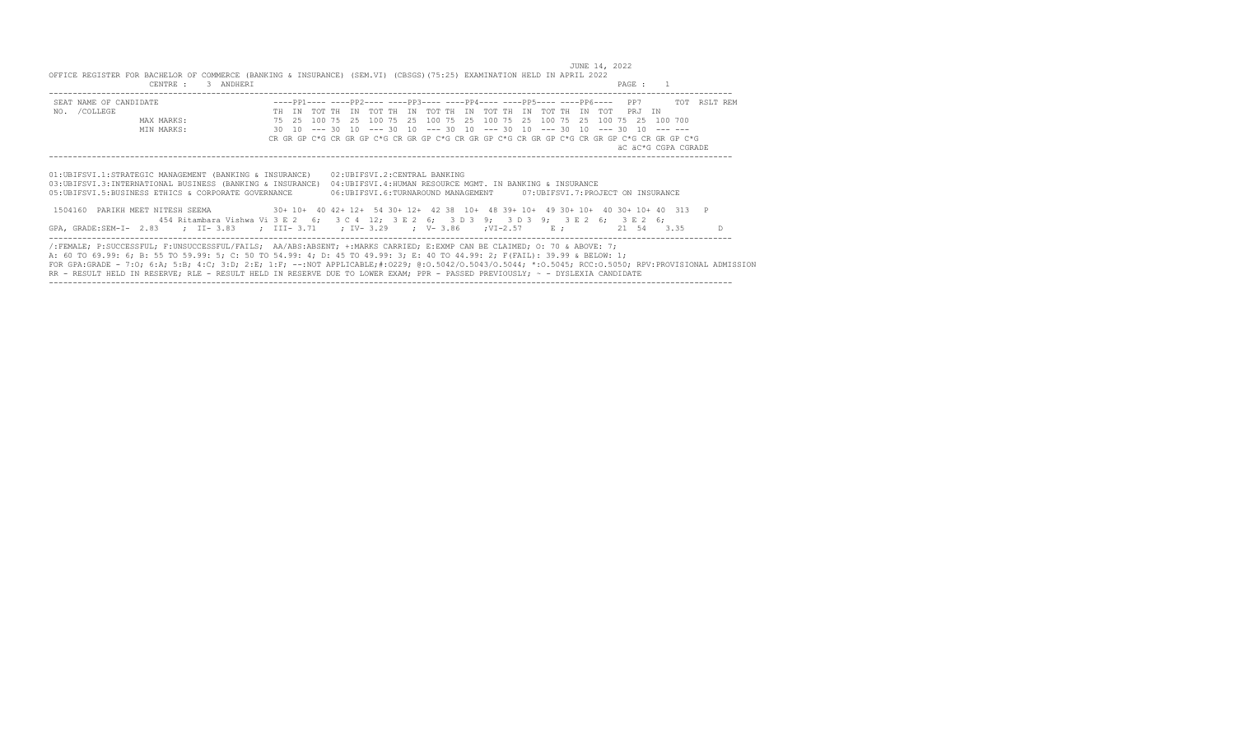JUNE 14, 2022<br>OFFICE REGISTER FOR BACHELOR OF COMMERCE (BANKING & INSURANCE) (SEM.VI) (CBSGS)(75:25) EXAMINATION HELD IN APRIL 2022<br>PAGE : 1

| SEAT NAME OF CANDIDATE                                                                                                                                                            |       |  |                                                                                                                                    |  |  |  |  |  |  |  |  | ----PP1---- ----PP2---- ----PP3---- ----PP4---- ----PP5---- ----PP6---- PP7 TOT RSLT REM   |  |
|-----------------------------------------------------------------------------------------------------------------------------------------------------------------------------------|-------|--|------------------------------------------------------------------------------------------------------------------------------------|--|--|--|--|--|--|--|--|--------------------------------------------------------------------------------------------|--|
| NO. / COLLEGE                                                                                                                                                                     | TH TN |  | TOT THE IN TOT THE IN TOT THE IN TOT THE IN TOT THE IN TOTE PR.I IN                                                                |  |  |  |  |  |  |  |  |                                                                                            |  |
| MAX MARKS:                                                                                                                                                                        |       |  | 75   25   100   75   25   100   75   25   100   75   25   100   75   25   100   75   25   100   700                                |  |  |  |  |  |  |  |  |                                                                                            |  |
| MIN MARKS:                                                                                                                                                                        |       |  | $30$ $10$ --- $30$ $10$ --- $30$ $10$ --- $30$ $10$ --- $30$ $10$ --- $30$ $10$ --- $30$ $10$ --- ---                              |  |  |  |  |  |  |  |  |                                                                                            |  |
|                                                                                                                                                                                   |       |  |                                                                                                                                    |  |  |  |  |  |  |  |  | CR GR GP C*G CR GR GP C*G CR GR GP C*G CR GR GP C*G CR GR GP C*G CR GR GP C*G CR GR GP C*G |  |
|                                                                                                                                                                                   |       |  |                                                                                                                                    |  |  |  |  |  |  |  |  | äC äC*G CGPA CGRADE                                                                        |  |
|                                                                                                                                                                                   |       |  |                                                                                                                                    |  |  |  |  |  |  |  |  |                                                                                            |  |
| 03:UBIFSVI.3:INTERNATIONAL BUSINESS (BANKING & INSURANCE)<br>05:UBIFSVI.5:BUSINESS ETHICS & CORPORATE GOVERNANCE                                                                  |       |  | 04: UBIFSVI.4: HUMAN RESOURCE MGMT. IN BANKING & INSURANCE<br>06:UBIFSVI.6:TURNAROUND MANAGEMENT 07:UBIFSVI.7:PROJECT ON INSURANCE |  |  |  |  |  |  |  |  |                                                                                            |  |
|                                                                                                                                                                                   |       |  |                                                                                                                                    |  |  |  |  |  |  |  |  |                                                                                            |  |
| 1504160 PARIKH MEET NITESH SEEMA 30+ 10+ 40 42+ 12+ 54 30+ 12+ 42 38 10+ 48 39+ 10+ 49 30+ 10+ 40 30+ 10+ 40 313                                                                  |       |  |                                                                                                                                    |  |  |  |  |  |  |  |  |                                                                                            |  |
| 454 Ritambara Vishwa Vi 3 E 2 6; 3 C 4 12; 3 E 2 6; 3 D 3 9; 3 D 3 9; 3 E 2 6; 3 E 2 6;<br>GPA, GRADE:SEM-I- 2.83 ; II-3.83 ; III-3.71 ; IV-3.29 ; V-3.86 ; VI-2.57 E; 21 54 3.35 |       |  |                                                                                                                                    |  |  |  |  |  |  |  |  |                                                                                            |  |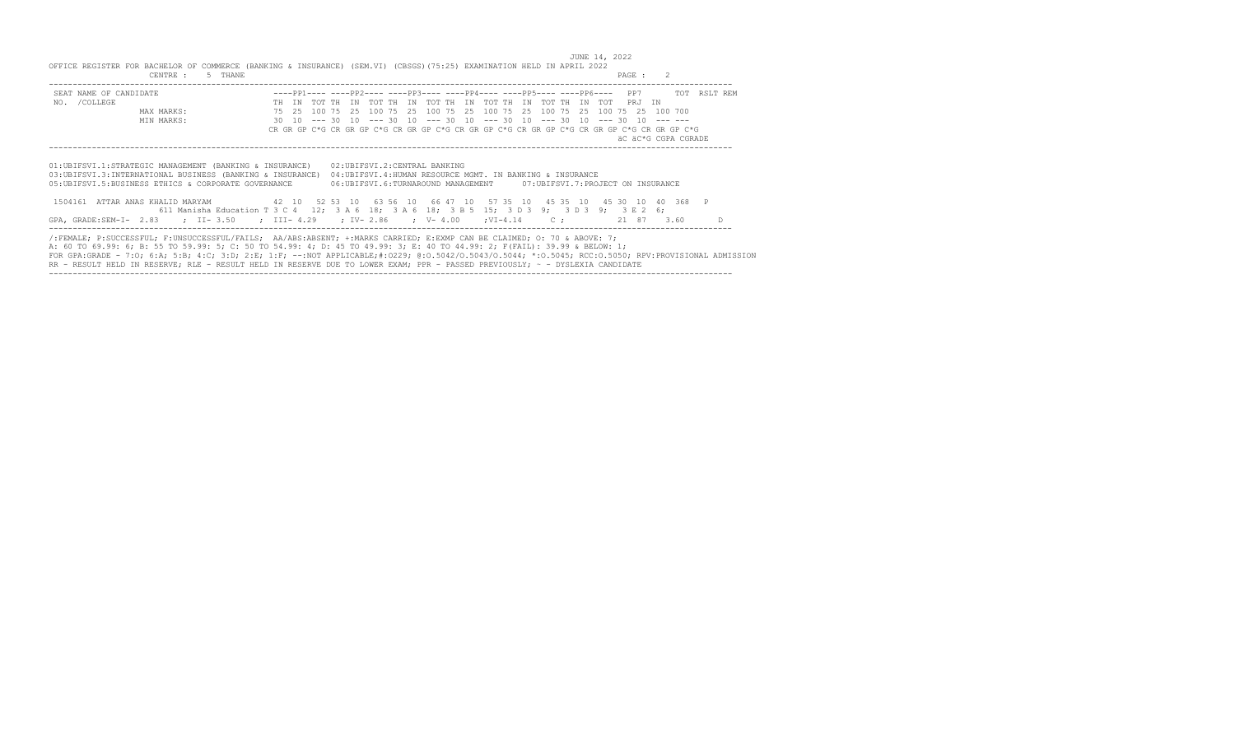JUNE 14, 2022<br>OFFICE REGISTER FOR BACHELOR OF COMMERCE (BANKING & INSURANCE) (SEM.VI) (CBSGS)(75:25) EXAMINATION HELD IN APRIL 2022<br>PAGE : 2 -----------------------------------------------------------------------------------------------------------------------------------------------

| SEAT NAME OF CANDIDATE                                                                                                                                                                                                                                                                                                                                                                                                                                                                                                                      |       |           | ----PP1---- ----PP2---- ----PP3---- ----PP4---- ----PP5---- ----PP6---- PP7                                                                                      |  |  |  |  |  |  |         | TOT RSLT REM        |    |
|---------------------------------------------------------------------------------------------------------------------------------------------------------------------------------------------------------------------------------------------------------------------------------------------------------------------------------------------------------------------------------------------------------------------------------------------------------------------------------------------------------------------------------------------|-------|-----------|------------------------------------------------------------------------------------------------------------------------------------------------------------------|--|--|--|--|--|--|---------|---------------------|----|
| NO. / COLLEGE                                                                                                                                                                                                                                                                                                                                                                                                                                                                                                                               | TH TN | ጥሰጥ ጥዞ TN | TOT THE IN TOT THE IN TOT THE IN TOT THE IN TOT                                                                                                                  |  |  |  |  |  |  | PR.T TN |                     |    |
| MAX MARKS:                                                                                                                                                                                                                                                                                                                                                                                                                                                                                                                                  | 75 25 |           | 100 75 25 100 75 25 100 75 25 100 75 25 100 75 25 100 75 25                                                                                                      |  |  |  |  |  |  |         | 100 700             |    |
| MIN MARKS:                                                                                                                                                                                                                                                                                                                                                                                                                                                                                                                                  |       |           | $30$ $10$ --- $30$ $10$ --- $30$ $10$ --- $30$ $10$ --- $30$ $10$ --- $30$ $10$ --- $30$ $10$ --- ---                                                            |  |  |  |  |  |  |         |                     |    |
|                                                                                                                                                                                                                                                                                                                                                                                                                                                                                                                                             |       |           | CR GR GP C*G CR GR GP C*G CR GR GP C*G CR GR GP C*G CR GR GP C*G CR GR GP C*G CR GR GP C*G                                                                       |  |  |  |  |  |  |         |                     |    |
|                                                                                                                                                                                                                                                                                                                                                                                                                                                                                                                                             |       |           |                                                                                                                                                                  |  |  |  |  |  |  |         | äC äC*G CGPA CGRADE |    |
|                                                                                                                                                                                                                                                                                                                                                                                                                                                                                                                                             |       |           |                                                                                                                                                                  |  |  |  |  |  |  |         |                     |    |
| 01:UBIFSVI.1:STRATEGIC MANAGEMENT (BANKING & INSURANCE)<br>03: UBIFSVI.3: INTERNATIONAL BUSINESS (BANKING & INSURANCE)<br>05:UBIFSVI.5:BUSINESS ETHICS & CORPORATE GOVERNANCE<br>1504161 ATTAR ANAS KHALID MARYAM 42 10 52 53 10 63 56 10 66 47 10 57 35 10 45 35 10 45 30 10 40 368 P<br>611 Manisha Education T 3 C 4 12; 3 A 6 18; 3 A 6 18; 3 B 5 15; 3 D 3 9; 3 D 3 9; 3 E 2 6;                                                                                                                                                        |       |           | 02:UBIFSVI.2:CENTRAL BANKING<br>04:UBIFSVI.4:HUMAN RESOURCE MGMT. IN BANKING & INSURANCE<br>06:UBIFSVI.6:TURNAROUND MANAGEMENT 07:UBIFSVI.7:PROJECT ON INSURANCE |  |  |  |  |  |  |         |                     |    |
| GPA, GRADE:SEM-I- 2.83 ; II-3.50 ; III-4.29 ; IV-2.86 ; V-4.00 ;VI-4.14 C; 21 87 3.60                                                                                                                                                                                                                                                                                                                                                                                                                                                       |       |           |                                                                                                                                                                  |  |  |  |  |  |  |         |                     | D. |
| /:FEMALE; P:SUCCESSFUL; F:UNSUCCESSFUL/FAILS; AA/ABS:ABSENT; +:MARKS CARRIED; E:EXMP CAN BE CLAIMED; 0: 70 & ABOVE: 7;<br>A: 60 TO 69.99: 6; B: 55 TO 59.99: 5; C: 50 TO 54.99: 4; D: 45 TO 49.99: 3; E: 40 TO 44.99: 2; F(FAIL): 39.99 & BELOW: 1;<br>FOR GPA:GRADE - 7:0; 6:A; 5:B; 4:C; 3:D; 2:E; 1:F; --:NOT APPLICABLE;#:0229; 0:0.5042/0.5043/0.5044; *:0.5045; RCC:0.5050; RPV:PROVISIONAL ADMISSION<br>RR - RESULT HELD IN RESERVE: RLE - RESULT HELD IN RESERVE DUE TO LOWER EXAM: PPR - PASSED PREVIOUSLY: ~ - DYSLEXIA CANDIDATE |       |           |                                                                                                                                                                  |  |  |  |  |  |  |         |                     |    |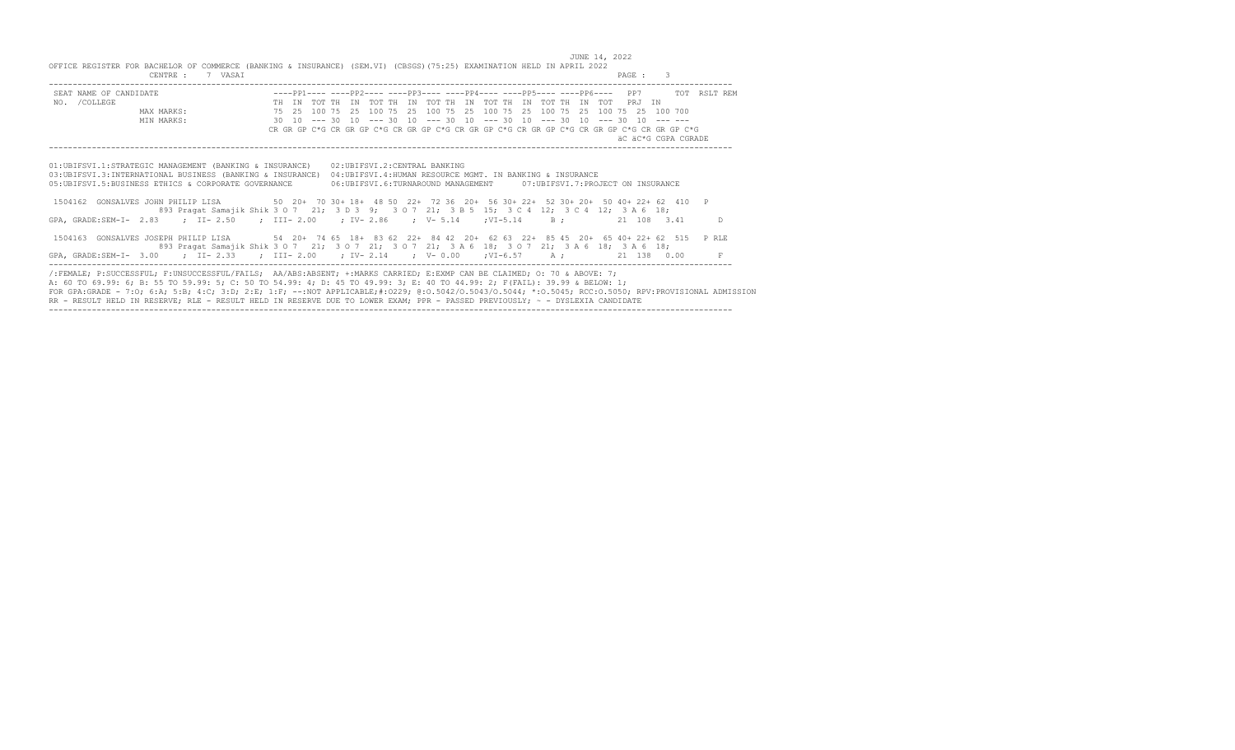JUNE 14, 2022 OFFICE REGISTER FOR BACHELOR OF COMMERCE (BANKING & INSURANCE) (SEM.VI) (CBSGS)(75:25) EXAMINATION HELD IN APRIL 2022 CENTRE : 7 VASAI PAGE : 3 ----------------------------------------------------------------------------------------------------------------------------------------------- SEAT NAME OF CANDIDATE ----PP1---- ----PP2---- ----PP3---- ----PP4---- ----PP5---- ----PP6---- PP7 TOT RSLT REM TH IN TOT TH IN TOT TH IN TOT TH IN TOT TH IN TOT TH IN TOT TH IN TOT TH IN TOT PRJ IN TOT PRJ IN TOT TH IN TOT TH IN TOT TH IN TOT TH IN TOT TH IN TOT TH IN TOT TH IN TOT TH IN TOT TH IN TOT TH IN TOT TH IN TOT THE IN THE MAX MARKS: 75 25 100 75 25 100 75 25 100 75 25 100 75 25 100 75 25 100 75 25 100 700 MIN MARKS: 30 10 --- 30 10 --- 30 10 --- 30 10 --- 30 10 --- 30 10 --- 30 10 --- --- CR GR GP C\*G CR GR GP C\*G CR GR GP C\*G CR GR GP C\*G CR GR GP C\*G CR GR GP C\*G CR GR GP C\*G äC äC\*G CGPA CGRADE ----------------------------------------------------------------------------------------------------------------------------------------------- 01:UBIFSVI.1:STRATEGIC MANAGEMENT (BANKING & INSURANCE) 02:UBIFSVI.2:CENTRAL BANKING 03:UBIFSVI.3:INTERNATIONAL BUSINESS (BANKING & INSURANCE) 04:UBIFSVI.4:HUMAN RESOURCE MGMT. IN BANKING & INSURANCE 05:UBIFSVI.5:BUSINESS ETHICS & CORPORATE GOVERNANCE 06:UBIFSVI.6:TURNAROUND MANAGEMENT 07:UBIFSVI.7:PROJECT ON INSURANCE 1504162 GONSALVES JOHN PHILIP LISA 50 20+ 70 30+ 18+ 48 50 22+ 72 36 20+ 56 30+ 22+ 52 30+ 20+ 50 40+ 22+ 62 410 P 893 Pragat Samajik Shik 3 O 7 21; 3 D 3 9; 3 O 7 21; 3 B 5 15; 3 C 4 12; 3 C 4 12; 3 A 6 18; GPA, GRADE:SEM-I- 2.83 ; II- 2.50 ; III- 2.00 ; IV- 2.86 ; V- 5.14 ; VI-5.14 B; 21 108 3.41 1504163 GONSALVES JOSEPH PHILIP LISA 54 20+ 74 65 18+ 83 62 22+ 84 42 20+ 62 63 22+ 85 45 20+ 65 40+ 22+ 62 515 P RLE 893 Pragat Samajik Shik 3 O 7 21; 3 O 7 21; 3 O 7 21; 3 A 6 18; 3 O 7 21; 3 A 6 18; 3 A 6 18; GPA, GRADE:SEM-I- 3.00 ; II- 2.33 ; III- 2.00 ; IV- 2.14 ; V- 0.00 ;VI-6.57 A ; 21 138 0.00 F ----------------------------------------------------------------------------------------------------------------------------------------------- /:FEMALE; P:SUCCESSFUL; F:UNSUCCESSFUL/FAILS; AA/ABS:ABSENT; +:MARKS CARRIED; E:EXMP CAN BE CLAIMED; O: 70 & ABOVE: 7;

A: 60 TO 69.99: 6; B: 55 TO 59.99: 5; C: 50 TO 54.99: 4; D: 45 TO 49.99: 3; E: 40 TO 44.99: 2; F(FAIL): 39.99 & BELOW: 1; FOR GPA:GRADE - 7:O; 6:A; 5:B; 4:C; 3:D; 2:E; 1:F; --:NOT APPLICABLE;#:O229; @:O.5042/O.5043/O.5044; \*:O.5045; RCC:O.5050; RPV:PROVISIONAL ADMISSION RR - RESULT HELD IN RESERVE; RLE - RESULT HELD IN RESERVE DUE TO LOWER EXAM; PPR - PASSED PREVIOUSLY; ~ - DYSLEXIA CANDIDATE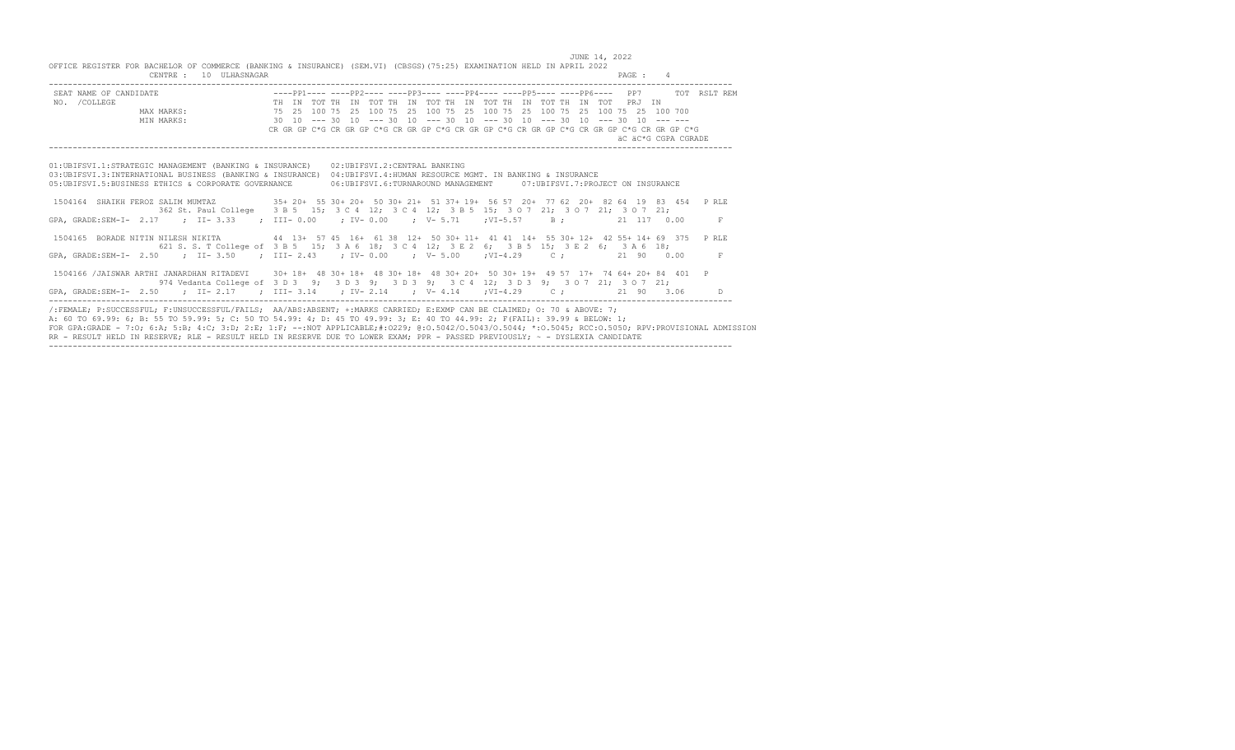JUNE 14, 2022

| OFFICE REGISTER FOR BACHELOR OF COMMERCE (BANKING & INSURANCE) (SEM.VI) (CBSGS) (75:25) EXAMINATION HELD IN APRIL 2022<br>CENTRE: 10 ULHASNAGAR                                                                                                                                                                                                                                                                                                                                                                                             |  |                                                                                             | PAGE : 4 |                     |
|---------------------------------------------------------------------------------------------------------------------------------------------------------------------------------------------------------------------------------------------------------------------------------------------------------------------------------------------------------------------------------------------------------------------------------------------------------------------------------------------------------------------------------------------|--|---------------------------------------------------------------------------------------------|----------|---------------------|
| SEAT NAME OF CANDIDATE<br>NO. /COLLEGE THE IN TOT THE IN TOT THE IN TOT THE IN TOT THE IN TOT THE IN TOT THE IN TOT THE IN TOT THE IN TOT<br>MAX MARKS: 75 25 100 75 25 100 75 25 100 75 25 100 75 25 100 75 25 100 75 25 100 76<br>                                                                                                                                                                                                                                                                                                        |  | CR GR GP C*G CR GR GP C*G CR GR GP C*G CR GP C*G CR GP C*G CR GP C*G CR GP C*G CR GR GP C*G |          | äC äC*G CGPA CGRADE |
| 01:UBIFSVI.1:STRATEGIC MANAGEMENT (BANKING & INSURANCE) 02:UBIFSVI.2:CENTRAL BANKING<br>03: UBIFSVI.3: INTERNATIONAL BUSINESS (BANKING & INSURANCE) 04: UBIFSVI.4: HUMAN RESOURCE MGMT. IN BANKING & INSURANCE<br>05: UBIFSVI.5: BUSINESS ETHICS & CORPORATE GOVERNANCE                                                                                                                                                                                                                                                                     |  | 06:UBIFSVI.6:TURNAROUND MANAGEMENT 07:UBIFSVI.7:PROJECT ON INSURANCE                        |          |                     |
| 1504164 SHAIKH FEROZ SALIM MUMTAZ 35+ 20+ 55 30+ 20+ 50 30+ 21+ 51 37+ 19+ 56 57 20+ 77 62 20+ 82 64 19 83 454 PRLE<br>GPA, GRADE:SEM-I- 2.17 : II-3.33 : III-0.00 : IV-0.00 : V-5.71 : VI-5.57 B: 21 117 0.00                                                                                                                                                                                                                                                                                                                              |  | 362 St. Paul College 3 B 5 15; 3 C 4 12; 3 C 4 12; 3 B 5 15; 3 0 7 21; 3 0 7 21; 3 0 7 21;  |          | F                   |
| 1504165 BORADE NITIN NILESH NIKITA 44 13+ 57 45 16+ 61 38 12+ 50 30+ 11+ 41 41 14+ 55 30+ 12+ 42 55+ 14+ 69 375 PRLE<br>GPA, GRADE:SEM-I- 2.50 : II-3.50 : III-2.43 : IV-0.00 : V-5.00 : VI-4.29 C: 21 90 0.00                                                                                                                                                                                                                                                                                                                              |  | 621 S. S. T College of 3 B 5 15; 3 A 6 18; 3 C 4 12; 3 E 2 6; 3 B 5 15; 3 E 2 6; 3 A 6 18;  |          | F                   |
| 1504166 /JAISWAR ARTHI JANARDHAN RITADEVI 30+18+ 48 30+18+ 48 30+18+ 48 30+20+ 50 30+19+ 49 57 17+ 74 64+20+84 401 P<br>GPA, GRADE:SEM-I- 2.50 ; II-2.17 ; III-3.14 ; IV-2.14 ; V-4.14 ; VI-4.29 C; 21 90 3.06 D                                                                                                                                                                                                                                                                                                                            |  | 974 Vedanta College of 3 D 3 9; 3 D 3 9; 3 D 3 9; 3 C 4 12; 3 D 3 9; 3 O 7 21; 3 O 7 21;    |          |                     |
| /:FEMALE; P:SUCCESSFUL; F:UNSUCCESSFUL/FAILS; AA/ABS:ABSENT; +:MARKS CARRIED; E:EXMP CAN BE CLAIMED; O: 70 & ABOVE: 7;<br>A: 60 TO 69.99: 6; B: 55 TO 59.99: 5; C: 50 TO 54.99: 4; D: 45 TO 49.99: 3; E: 40 TO 44.99: 2; F(FAIL): 39.99 & BELOW: 1;<br>FOR GPA:GRADE - 7:0; 6:A; 5:B; 4:C; 3:D; 2:E; 1:F; --:NOT APPLICABLE;#:0229; 0:0.5042/0.5043/0.5044; *:0.5045; RCC:0.5050; RPV:PROVISIONAL ADMISSION<br>RR - RESULT HELD IN RESERVE: RLE - RESULT HELD IN RESERVE DUE TO LOWER EXAM: PPR - PASSED PREVIOUSLY: ~ - DYSLEXIA CANDIDATE |  |                                                                                             |          |                     |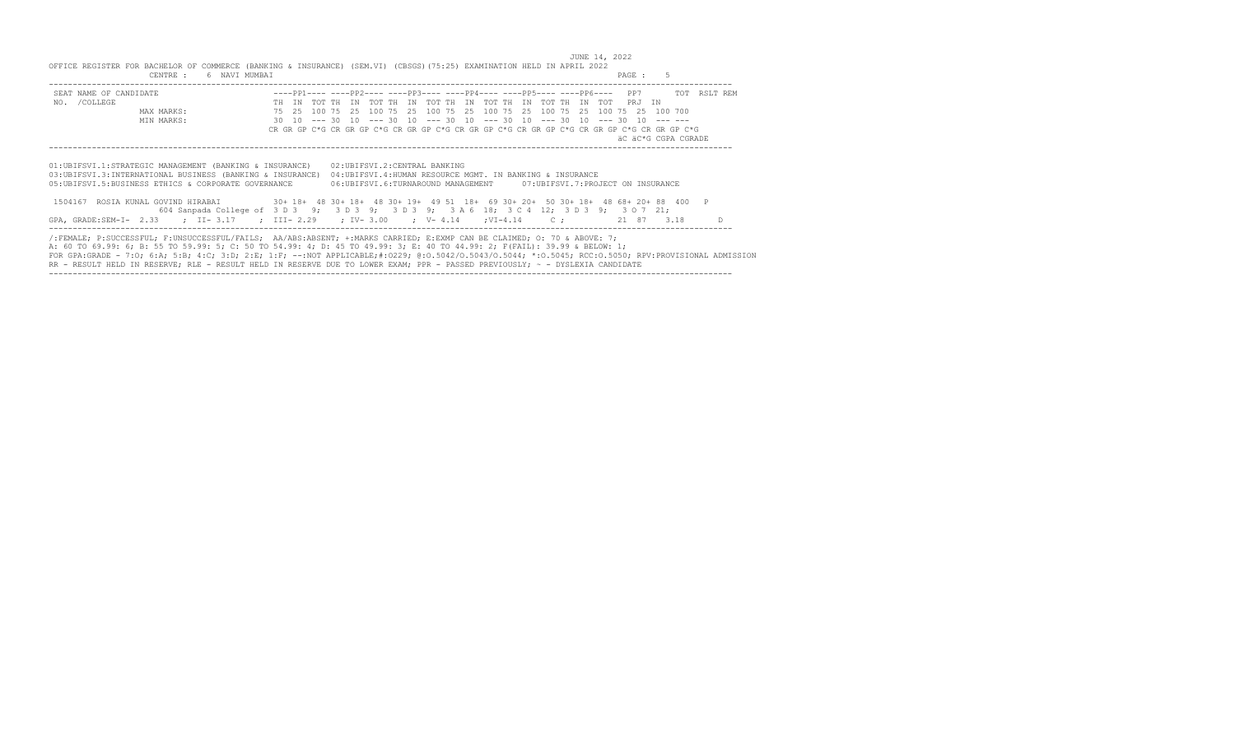JUNE 14, 2022 OFFICE REGISTER FOR BACHELOR OF COMMERCE (BANKING & INSURANCE) (SEM.VI) (CBSGS)(75:25) EXAMINATION HELD IN APRIL 2022 CENTRE : 6 NAVI MUMBAI PAGE : 5 -----------------------------------------------------------------------------------------------------------------------------------------------

| SEAT NAME OF CANDIDATE                                                                                                                                                                                                                                                                                                                                                                                                                                                                                                                      |  |  |  |  | ----PP1---- ----PP2---- ----PP3---- ----PP4---- ----PP5---- ----PP6---- PP7                                                                                        |  |  |  |  |  |  |                     | TOT RSLT REM |    |
|---------------------------------------------------------------------------------------------------------------------------------------------------------------------------------------------------------------------------------------------------------------------------------------------------------------------------------------------------------------------------------------------------------------------------------------------------------------------------------------------------------------------------------------------|--|--|--|--|--------------------------------------------------------------------------------------------------------------------------------------------------------------------|--|--|--|--|--|--|---------------------|--------------|----|
| NO. / COLLEGE                                                                                                                                                                                                                                                                                                                                                                                                                                                                                                                               |  |  |  |  | TH IN TOT TH IN TOT TH IN TOT TH IN TOT TH IN TOT TH IN TOT PRJ IN                                                                                                 |  |  |  |  |  |  |                     |              |    |
| MAX MARKS:                                                                                                                                                                                                                                                                                                                                                                                                                                                                                                                                  |  |  |  |  | 75   25   100   75   25   100   75   25   100   75   25   100   75   25   100   75   25   100   700                                                                |  |  |  |  |  |  |                     |              |    |
| MIN MARKS:                                                                                                                                                                                                                                                                                                                                                                                                                                                                                                                                  |  |  |  |  | 30 10 --- 30 10 --- 30 10 --- 30 10 --- 30 10 --- 30 10 --- 30 10 --- --                                                                                           |  |  |  |  |  |  |                     |              |    |
|                                                                                                                                                                                                                                                                                                                                                                                                                                                                                                                                             |  |  |  |  | CR GR GP C*G CR GR GP C*G CR GR GP C*G CR GR GP C*G CR GR GP C*G CR GR GP C*G CR GR GP C*G                                                                         |  |  |  |  |  |  |                     |              |    |
|                                                                                                                                                                                                                                                                                                                                                                                                                                                                                                                                             |  |  |  |  |                                                                                                                                                                    |  |  |  |  |  |  | äC äC*G CGPA CGRADE |              |    |
|                                                                                                                                                                                                                                                                                                                                                                                                                                                                                                                                             |  |  |  |  |                                                                                                                                                                    |  |  |  |  |  |  |                     |              |    |
| 01:UBIFSVI.1:STRATEGIC MANAGEMENT (BANKING & INSURANCE)<br>03: UBIFSVI.3: INTERNATIONAL BUSINESS (BANKING & INSURANCE)<br>05: UBIFSVI.5: BUSINESS ETHICS & CORPORATE GOVERNANCE<br>1504167 ROSIA KUNAL GOVIND HIRABAI 30+ 18+ 48 30+ 18+ 48 30+ 19+ 49 51 18+ 69 30+ 20+ 50 30+ 18+ 48 68+ 20+ 88 400 P<br>604 Sanpada College of 3 D 3 9; 3 D 3 9; 3 D 3 9; 3 A 6 18; 3 C 4 12; 3 D 3 9; 3 O 7 21;                                                                                                                                         |  |  |  |  | 02: UBIFSVI.2: CENTRAL BANKING<br>04:UBIFSVI.4:HUMAN RESOURCE MGMT. IN BANKING & INSURANCE<br>06:UBIFSVI.6:TURNAROUND MANAGEMENT 07:UBIFSVI.7:PROJECT ON INSURANCE |  |  |  |  |  |  |                     |              |    |
| GPA, GRADE:SEM-I- 2.33 ; II- 3.17 ; III- 2.29 ; IV- 3.00 ; V- 4.14 ; VI-4.14 C; 21 87 3.18                                                                                                                                                                                                                                                                                                                                                                                                                                                  |  |  |  |  |                                                                                                                                                                    |  |  |  |  |  |  |                     |              | D. |
| /:FEMALE; P:SUCCESSFUL; F:UNSUCCESSFUL/FAILS; AA/ABS:ABSENT; +:MARKS CARRIED; E:EXMP CAN BE CLAIMED; O: 70 & ABOVE: 7;<br>A: 60 TO 69.99: 6; B: 55 TO 59.99: 5; C: 50 TO 54.99: 4; D: 45 TO 49.99: 3; E: 40 TO 44.99: 2; F(FAIL): 39.99 & BELOW: 1;<br>FOR GPA:GRADE - 7:0; 6:A; 5:B; 4:C; 3:D; 2:E; 1:F; --:NOT APPLICABLE;#:0229; 0:0.5042/0.5043/0.5044; *:0.5045; RCC:0.5050; RPV:PROVISIONAL ADMISSION<br>RR - RESULT HELD IN RESERVE: RLE - RESULT HELD IN RESERVE DUE TO LOWER EXAM: PPR - PASSED PREVIOUSLY: ~ - DYSLEXIA CANDIDATE |  |  |  |  |                                                                                                                                                                    |  |  |  |  |  |  |                     |              |    |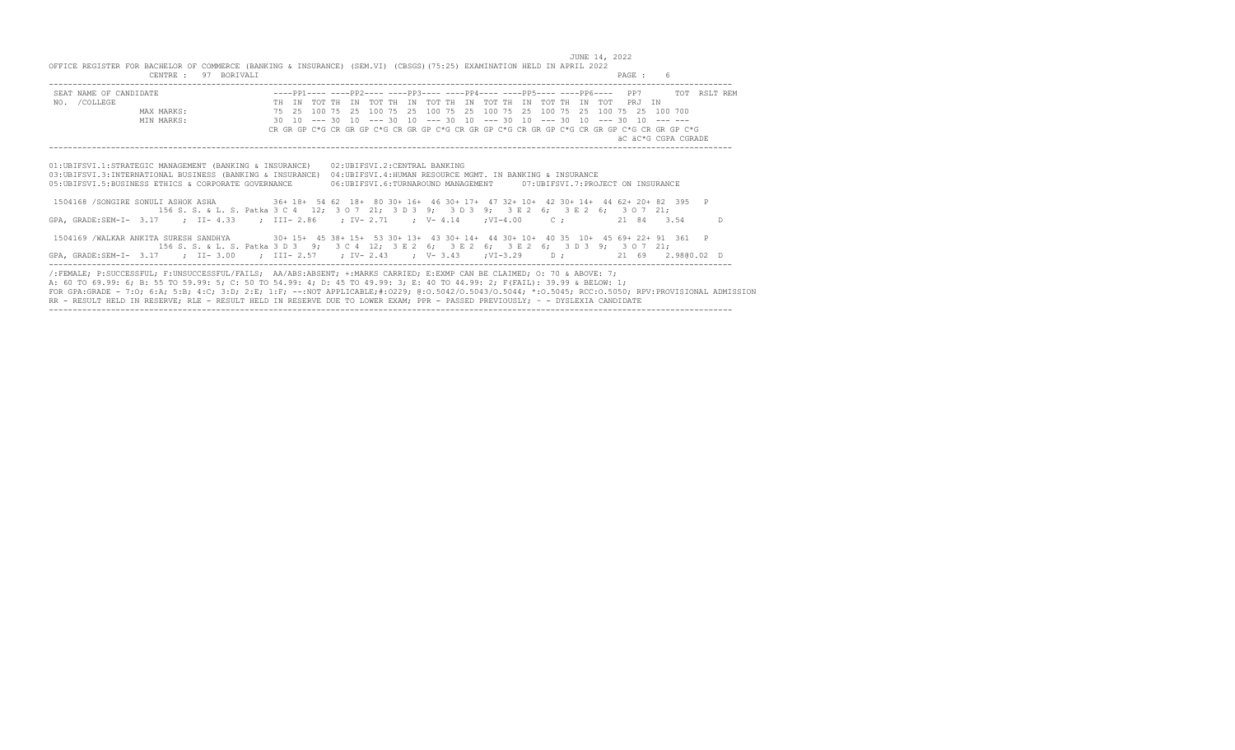JUNE 14, 2022 OFFICE REGISTER FOR BACHELOR OF COMMERCE (BANKING & INSURANCE) (SEM.VI) (CBSGS)(75:25) EXAMINATION HELD IN APRIL 2022 CENTRE : 97 BORIVALI PAGE : 6 ----------------------------------------------------------------------------------------------------------------------------------------------- SEAT NAME OF CANDIDATE ----PP1---- ----PP2---- ----PP3---- ----PP4---- ----PP5---- ----PP6---- PP7 TOT RSLT REM TH IN TOT TH IN TOT TH IN TOT TH IN TOT TH IN TOT TH IN TOT PRJ IN MAX MARKS: 75 25 100 75 25 100 75 25 100 75 25 100 75 25 100 75 25 100 75 25 100 700 MIN MARKS: 30 10 --- 30 10 --- 30 10 --- 30 10 --- 30 10 --- 30 10 --- 30 10 --- --- CR GR GP C\*G CR GR GP C\*G CR GR GP C\*G CR GR GP C\*G CR GR GP C\*G CR GR GP C\*G CR GR GP C\*G äC äC\*G CGPA CGRADE ----------------------------------------------------------------------------------------------------------------------------------------------- 01:UBIFSVI.1:STRATEGIC MANAGEMENT (BANKING & INSURANCE) 02:UBIFSVI.2:CENTRAL BANKING 03:UBIFSVI.3:INTERNATIONAL BUSINESS (BANKING & INSURANCE) 04:UBIFSVI.4:HUMAN RESOURCE MGMT. IN BANKING & INSURANCE 05:UBIFSVI.5:BUSINESS ETHICS & CORPORATE GOVERNANCE 06:UBIFSVI.6:TURNAROUND MANAGEMENT 07:UBIFSVI.7:PROJECT ON INSURANCE 1504168 /SONGIRE SONULI ASHOK ASHA 36+ 18+ 54 62 18+ 80 30+ 16+ 46 30+ 17+ 47 32+ 10+ 42 30+ 14+ 44 62+ 20+ 82 395 P

|                                                                                                                         | 156 S. S. & L. S. Patka 3 C 4 12; 3 0 7 21; 3 D 3 9; 3 D 3 9; 3 E 2 6; 3 E 2 6; 3 O 7 21; |   |
|-------------------------------------------------------------------------------------------------------------------------|-------------------------------------------------------------------------------------------|---|
| GPA, GRADE:SEM-I- 3.17 ; II- 4.33 ; III- 2.86 ; IV- 2.71 ; V- 4.14 ; VI-4.00 C; 21 84 3.54                              |                                                                                           | D |
| 1504169 /WALKAR ANKITA SURESH SANDHYA 30+ 15+ 45 38+ 15+ 53 30+ 13+ 43 30+ 14+ 44 30+ 10+ 40 35 10+ 45 69+ 22+ 91 361 P |                                                                                           |   |
|                                                                                                                         | 156 S. S. & L. S. Patka 3 D 3 9; 3 C 4 12; 3 E 2 6; 3 E 2 6; 3 E 2 6; 3 D 3 9; 3 O 7 21;  |   |
| GPA, GRADE:SEM-I- 3.17 ; II-3.00 ; III-2.57 ; IV-2.43 ; V-3.43 ;VI-3.29 D; 21 69 2.9800.02 D                            |                                                                                           |   |

/:FEMALE; P:SUCCESSFUL; F:UNSUCCESSFUL/FAILS; AA/ABS:ABSENT; +:MARKS CARRIED; E:EXMP CAN BE CLAIMED; O: 70 & ABOVE: 7; A: 60 TO 69.99: 6; B: 55 TO 59.99: 5; C: 50 TO 54.99: 4; D: 45 TO 49.99: 3; E: 40 TO 44.99: 2; F(FAIL): 39.99 & BELOW: 1; FOR GPA:GRADE - 7:O; 6:A; 5:B; 4:C; 3:D; 2:E; 1:F; --:NOT APPLICABLE;#:O229; @:O.5042/O.5043/O.5044; \*:O.5045; RCC:O.5050; RPV:PROVISIONAL ADMISSION RR - RESULT HELD IN RESERVE; RLE - RESULT HELD IN RESERVE DUE TO LOWER EXAM; PPR - PASSED PREVIOUSLY; ~ - DYSLEXIA CANDIDATE -----------------------------------------------------------------------------------------------------------------------------------------------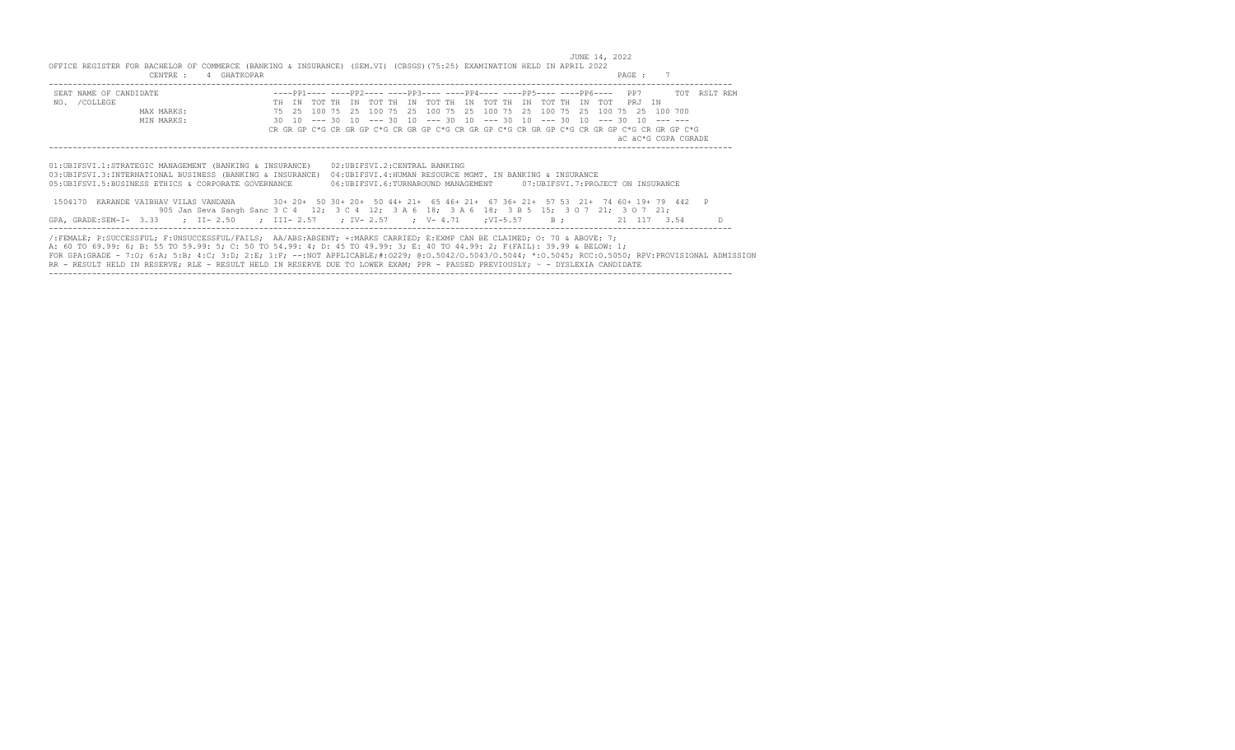JUNE 14, 2022 OFFICE REGISTER FOR BACHELOR OF COMMERCE (BANKING & INSURANCE) (SEM.VI) (CBSGS)(75:25) EXAMINATION HELD IN APRIL 2022 CENTRE : 4 GHATKOPAR PAGE : 7 -----------------------------------------------------------------------------------------------------------------------------------------------

| SEAT NAME OF CANDIDATE<br>NO. / COLLEGE<br>MAX MARKS:<br>MIN MARKS:                                                                                                                                                                                                                                                                                                                                                                                                                                                                         | TH TN |  |  |  |                                                                                              |  |  |  |  |  | TOT THE IN TOT THE IN TOT THE IN TOT THE IN TOT THE IN TOT PRJ IN<br>75   25   100   75   25   100   75   25   100   75   25   100   75   25   100   75   25   100   700<br>30 10 --- 30 10 --- 30 10 --- 30 10 --- 30 10 --- 30 10 --- 30 10 --- 30 | ----PP1---- ----PP2---- ----PP3---- ----PP4---- ----PP5---- ----PP6---- PP7 TOT RSLT REM<br>CR GR GP C*G CR GR GP C*G CR GR GP C*G CR GR GP C*G CR GR GP C*G CR GR GP C*G CR GR GP C*G<br>äC äC*G CGPA CGRADE |  |
|---------------------------------------------------------------------------------------------------------------------------------------------------------------------------------------------------------------------------------------------------------------------------------------------------------------------------------------------------------------------------------------------------------------------------------------------------------------------------------------------------------------------------------------------|-------|--|--|--|----------------------------------------------------------------------------------------------|--|--|--|--|--|------------------------------------------------------------------------------------------------------------------------------------------------------------------------------------------------------------------------------------------------------|---------------------------------------------------------------------------------------------------------------------------------------------------------------------------------------------------------------|--|
| 01: UBIFSVI.1: STRATEGIC MANAGEMENT (BANKING & INSURANCE)<br>03:UBIFSVI.3:INTERNATIONAL BUSINESS (BANKING & INSURANCE)<br>05:UBIFSVI.5:BUSINESS ETHICS & CORPORATE GOVERNANCE<br>1504170 KARANDE VAIBHAV VILAS VANDANA 30+ 20+ 50 30+ 20+ 50 44+ 21+ 65 46+ 21+ 67 36+ 21+ 57 53 21+ 74 60+ 19+ 79 442 P<br>905 Jan Seva Sangh Sanc 3 C 4 12; 3 C 4 12; 3 A 6 18; 3 A 6 18; 3 B 5 15; 3 O 7 21; 3 O 7 21;<br>GPA, GRADE:SEM-I- 3.33 ; II-2.50 ; III-2.57 ; IV-2.57 ; V-4.71 ; VI-5.57 B; 21 117 3.54                                        |       |  |  |  | 02: UBIFSVI.2: CENTRAL BANKING<br>04: UBIFSVI.4: HUMAN RESOURCE MGMT. IN BANKING & INSURANCE |  |  |  |  |  | 06:UBIFSVI.6:TURNAROUND MANAGEMENT 07:UBIFSVI.7:PROJECT ON INSURANCE                                                                                                                                                                                 |                                                                                                                                                                                                               |  |
| /:FEMALE; P:SUCCESSFUL; F:UNSUCCESSFUL/FAILS; AA/ABS:ABSENT; +:MARKS CARRIED; E:EXMP CAN BE CLAIMED; O: 70 & ABOVE: 7;<br>A: 60 TO 69.99: 6; B: 55 TO 59.99: 5; C: 50 TO 54.99: 4; D: 45 TO 49.99: 3; E: 40 TO 44.99: 2; F(FAIL): 39.99 & BELOW: 1;<br>FOR GPA:GRADE - 7:0; 6:A; 5:B; 4:C; 3:D; 2:E; 1:F; --:NOT APPLICABLE;#:0229; 0:0.5042/0.5043/0.5044; *:0.5045; RCC:0.5050; RPV:PROVISIONAL ADMISSION<br>RR - RESULT HELD IN RESERVE: RLE - RESULT HELD IN RESERVE DUE TO LOWER EXAM: PPR - PASSED PREVIOUSLY: ~ - DYSLEXIA CANDIDATE |       |  |  |  |                                                                                              |  |  |  |  |  |                                                                                                                                                                                                                                                      |                                                                                                                                                                                                               |  |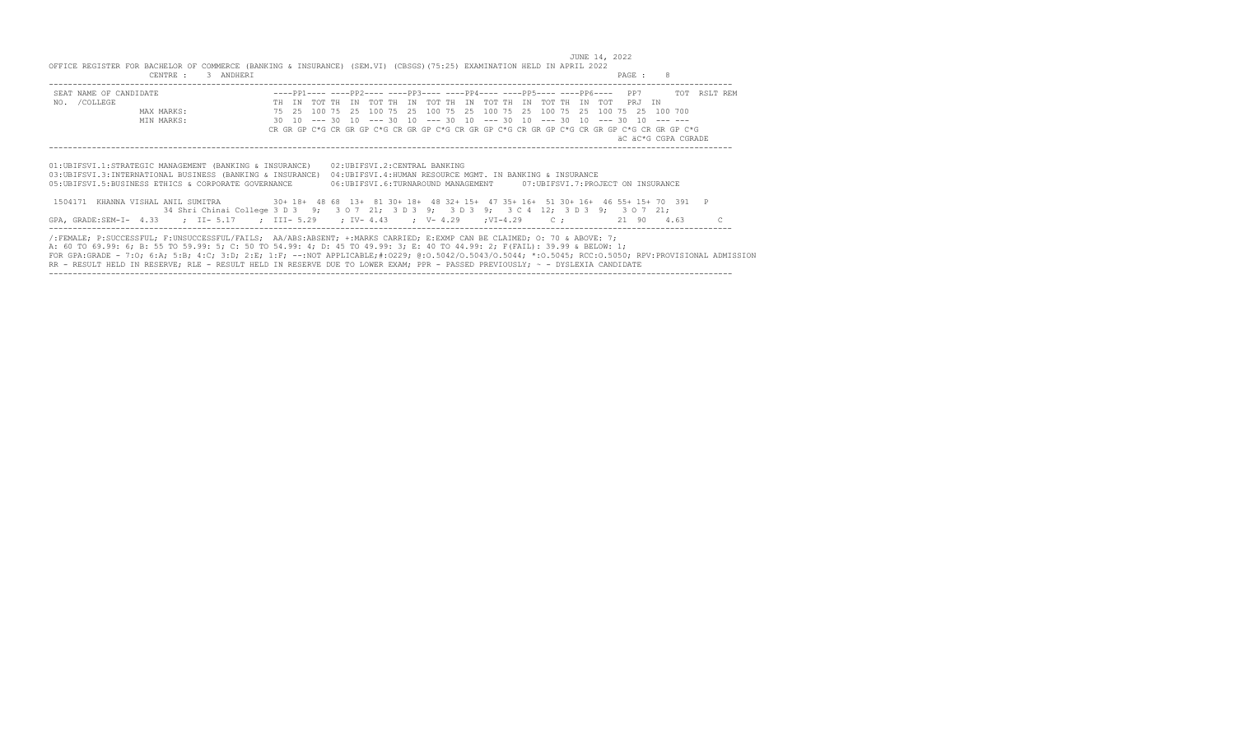JUNE 14, 2022 OFFICE REGISTER FOR BACHELOR OF COMMERCE (BANKING & INSURANCE) (SEM.VI) (CBSGS)(75:25) EXAMINATION HELD IN APRIL 2022 CENTRE : 3 ANDHERI PAGE : 8 -----------------------------------------------------------------------------------------------------------------------------------------------

| SEAT NAME OF CANDIDATE                                                                                                                               |  |  |  |  | ----PP1---- ----PP2---- ----PP3---- ----PP4---- ----PP5---- ----PP6---- PP7                                    |  |  |  |  |  |  | TOT RSLT REM                                                                               |  |
|------------------------------------------------------------------------------------------------------------------------------------------------------|--|--|--|--|----------------------------------------------------------------------------------------------------------------|--|--|--|--|--|--|--------------------------------------------------------------------------------------------|--|
| NO. / COLLEGE                                                                                                                                        |  |  |  |  | TH IN TOT TH IN TOT TH IN TOT TH IN TOT TH IN TOT TH IN TOT PRJ IN                                             |  |  |  |  |  |  |                                                                                            |  |
| MAX MARKS:                                                                                                                                           |  |  |  |  | 75    25    100    75    25    100    75    25    100    75    25    100    75    25    100    700    700    7 |  |  |  |  |  |  |                                                                                            |  |
| MIN MARKS:                                                                                                                                           |  |  |  |  | 30 10 --- 30 10 --- 30 10 --- 30 10 --- 30 10 --- 30 10 --- 30 10 --- --                                       |  |  |  |  |  |  |                                                                                            |  |
|                                                                                                                                                      |  |  |  |  |                                                                                                                |  |  |  |  |  |  | CR GR GP C*G CR GR GP C*G CR GR GP C*G CR GR GP C*G CR GR GP C*G CR GR GP C*G CR GR GP C*G |  |
|                                                                                                                                                      |  |  |  |  |                                                                                                                |  |  |  |  |  |  | äC äC*G CGPA CGRADE                                                                        |  |
|                                                                                                                                                      |  |  |  |  |                                                                                                                |  |  |  |  |  |  |                                                                                            |  |
|                                                                                                                                                      |  |  |  |  |                                                                                                                |  |  |  |  |  |  |                                                                                            |  |
| 01:UBIFSVI.1:STRATEGIC MANAGEMENT (BANKING & INSURANCE)                                                                                              |  |  |  |  | 02:UBIFSVI.2:CENTRAL BANKING                                                                                   |  |  |  |  |  |  |                                                                                            |  |
| 03: UBIFSVI.3: INTERNATIONAL BUSINESS (BANKING & INSURANCE)                                                                                          |  |  |  |  | 04: UBIFSVI.4: HUMAN RESOURCE MGMT. IN BANKING & INSURANCE                                                     |  |  |  |  |  |  |                                                                                            |  |
| 05: UBIFSVI.5: BUSINESS ETHICS & CORPORATE GOVERNANCE                                                                                                |  |  |  |  | 06:UBIFSVI.6:TURNAROUND MANAGEMENT 07:UBIFSVI.7:PROJECT ON INSURANCE                                           |  |  |  |  |  |  |                                                                                            |  |
|                                                                                                                                                      |  |  |  |  |                                                                                                                |  |  |  |  |  |  |                                                                                            |  |
| 1504171 KHANNA VISHAL ANIL SUMITRA 30+ 18+ 48 68 13+ 81 30+ 18+ 48 32+ 15+ 47 35+ 16+ 51 30+ 16+ 46 55+ 15+ 70 391 P                                 |  |  |  |  |                                                                                                                |  |  |  |  |  |  |                                                                                            |  |
| 34 Shri Chinai College 3 D 3 9; 3 0 7 21; 3 D 3 9; 3 D 3 9; 3 C 4 12; 3 D 3 9; 3 0 7 21;                                                             |  |  |  |  |                                                                                                                |  |  |  |  |  |  |                                                                                            |  |
| GPA, GRADE:SEM-I- 4.33 ; II- 5.17 ; III- 5.29 ; IV- 4.43 ; V- 4.29 ; VI-4.29 C; 21 90 4.63                                                           |  |  |  |  |                                                                                                                |  |  |  |  |  |  |                                                                                            |  |
|                                                                                                                                                      |  |  |  |  |                                                                                                                |  |  |  |  |  |  |                                                                                            |  |
| /:FEMALE; P:SUCCESSFUL; F:UNSUCCESSFUL/FAILS; AA/ABS:ABSENT; +:MARKS CARRIED; E:EXMP CAN BE CLAIMED; O: 70 & ABOVE: 7;                               |  |  |  |  |                                                                                                                |  |  |  |  |  |  |                                                                                            |  |
| A: 60 TO 69.99: 6; B: 55 TO 59.99: 5; C: 50 TO 54.99: 4; D: 45 TO 49.99: 3; E: 40 TO 44.99: 2; F(FAIL): 39.99 & BELOW: 1;                            |  |  |  |  |                                                                                                                |  |  |  |  |  |  |                                                                                            |  |
| FOR GPA:GRADE - 7:0; 6:A; 5:B; 4:C; 3:D; 2:E; 1:F; --:NOT APPLICABLE;#:0229; 0:0.5042/0.5043/0.5044; *:0.5045; RCC:0.5050; RPV:PROVISIONAL ADMISSION |  |  |  |  |                                                                                                                |  |  |  |  |  |  |                                                                                            |  |
| RR - RESULT HELD IN RESERVE; RLE - RESULT HELD IN RESERVE DUE TO LOWER EXAM; PPR - PASSED PREVIOUSLY; ~ - DYSLEXIA CANDIDATE                         |  |  |  |  |                                                                                                                |  |  |  |  |  |  |                                                                                            |  |
|                                                                                                                                                      |  |  |  |  |                                                                                                                |  |  |  |  |  |  |                                                                                            |  |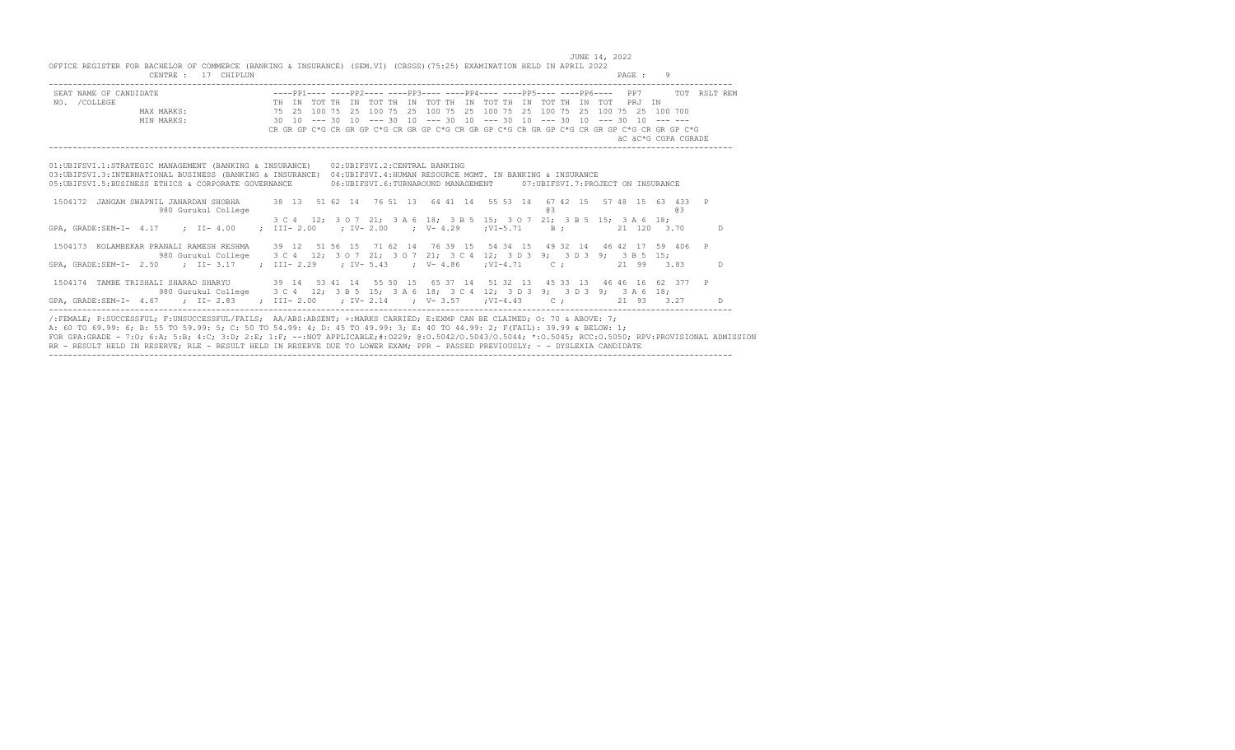JUNE 14, 2022

| OFFICE REGISTER FOR BACHELOR OF COMMERCE (BANKING & INSURANCE) (SEM.VI) (CBSGS) (75:25) EXAMINATION HELD IN APRIL 2022<br>CENTRE: 17 CHIPLUN                                                                                                                                                                                                     |  |     | PAGE: 9                                                                                                                                                                                                                                                                                                                                                   |
|--------------------------------------------------------------------------------------------------------------------------------------------------------------------------------------------------------------------------------------------------------------------------------------------------------------------------------------------------|--|-----|-----------------------------------------------------------------------------------------------------------------------------------------------------------------------------------------------------------------------------------------------------------------------------------------------------------------------------------------------------------|
| SEAT NAME OF CANDIDATE $---PP1------PP2------PP3------PP4------PP5------PP5------PP6--- PP6--- PP7$ PP7 TOT RSLT REM<br>NO. / COLLEGE                                                                                                                                                                                                            |  |     | 1991 - 1992 - 1994 - 1994 - 1994 - 1994 - 1994 - 1994 - 1994 - 1994 - 1994 - 1994 - 1994 - 1994 - 1994 - 1994<br>1994 - 1995 - 1996 - 1997 - 1997 - 1997 - 1998 - 1999 - 1999 - 1999 - 1999 - 1999 - 1999 - 1999 - 1999 - 1999<br>19<br>CR GR GP C*G CR GR GP C*G CR GR GP C*G CR GR GP C*G CR GR GP C*G CR GR GP C*G CR GR GP C*G<br>äC äC*G CGPA CGRADE |
| 01:UBIFSVI.1:STRATEGIC MANAGEMENT (BANKING & INSURANCE) 02:UBIFSVI.2:CENTRAL BANKING<br>03: UBIFSVI.3: INTERNATIONAL BUSINESS (BANKING & INSURANCE) 04: UBIFSVI.4: HUMAN RESOURCE MGMT. IN BANKING & INSURANCE<br>05: UBIFSVI.5: BUSINESS ETHICS & CORPORATE GOVERNANCE 06: UBIFSVI.6: TURNAROUND MANAGEMENT 07: UBIFSVI.7: PROJECT ON INSURANCE |  |     |                                                                                                                                                                                                                                                                                                                                                           |
| 1504172 JANGAM SWAPNIL JANARDAN SHOBHA 38 13 51 62 14 76 51 13 64 41 14 55 53 14 67 42 15 57 48 15 63 433 P<br>980 Gurukul College                                                                                                                                                                                                               |  | 8.S | $\overline{a}$ and $\overline{a}$ and $\overline{a}$ and $\overline{a}$ and $\overline{a}$ and $\overline{a}$ and $\overline{a}$ and $\overline{a}$ and $\overline{a}$ and $\overline{a}$ and $\overline{a}$ and $\overline{a}$ and $\overline{a}$ and $\overline{a}$ and $\overline{a}$ and $\overline{a}$ and $\overline{a}$ and                        |
| GPA, GRADE:SEM-I- 4.17 ; II- 4.00 ; III- 2.00 ; IV- 2.00 ; V- 4.29 ; VI-5.71 B; 21 120 3.70 D                                                                                                                                                                                                                                                    |  |     | 3 C 4 12; 3 O 7 21; 3 A 6 18; 3 B 5 15; 3 O 7 21; 3 B 5 15; 3 A 6 18;                                                                                                                                                                                                                                                                                     |
| 1504173 KOLAMBEKAR PRANALI RAMESH RESHMA 39 12 51 56 15 71 62 14 76 39 15 54 34 15 49 32 14 46 42 17 59 406 P                                                                                                                                                                                                                                    |  |     | 980 Gurukul College 3 C 4 12; 3 0 7 21; 3 0 7 21; 3 C 4 12; 3 D 3 9; 3 D 3 9; 3 B 5 15;                                                                                                                                                                                                                                                                   |
| GPA, GRADE:SEM-I- 2.50 ; II- 3.17 ; III- 2.29 ; IV- 5.43 ; V- 4.86 ; VI-4.71 C; 21 99 3.83 D                                                                                                                                                                                                                                                     |  |     |                                                                                                                                                                                                                                                                                                                                                           |
| 1504174 TAMBE TRISHALI SHARAD SHARYU 39 14 53 41 14 55 50 15 65 37 14 51 32 13 45 33 13 46 46 16 62 377 P<br>GPA, GRADE:SEM-I- 4.67 ; II-2.83 ; III-2.00 ; IV-2.14 ; V-3.57 ; VI-4.43 C; 21 93 3.27 D                                                                                                                                            |  |     | 980 Gurukul College 3 C 4 12; 3 B 5 15; 3 A 6 18; 3 C 4 12; 3 D 3 9; 3 D 3 9; 3 A 6 18;                                                                                                                                                                                                                                                                   |
| /:FEMALE: P:SUCCESSFUL: F:UNSUCCESSFUL/FAILS: AA/ABS:ABSENT: +:MARKS CARRIED: E:EXMP CAN BE CLAIMED: 0: 70 & ABOVE: 7:<br>A: 60 TO 69.99: 6; B: 55 TO 59.99: 5; C: 50 TO 54.99: 4; D: 45 TO 49.99: 3; E: 40 TO 44.99: 2; F(FAIL): 39.99 & BELOW: 1;                                                                                              |  |     | a sa mga barangay na mga bayang nagalang na mga barang na magaalaysay na magaalaysay na magaalaysay na mga bar                                                                                                                                                                                                                                            |

A: 60 TO 69.99: 6; B: 55 TO 59.99: 5; C: 50 TO 54.99: 4; D: 45 TO 49.99: 3; E: 40 TO 44.99: 2; F(FAIL): 39.99 & BELOW: 1;<br>FOR GPA:GRADE - 7:O; 6:A; 5:B; 4:C; 3:D; 2:E; 1:F; --:NOT APPLICABLE;#:O229; @:O.5042/O.5043/O.5044; -----------------------------------------------------------------------------------------------------------------------------------------------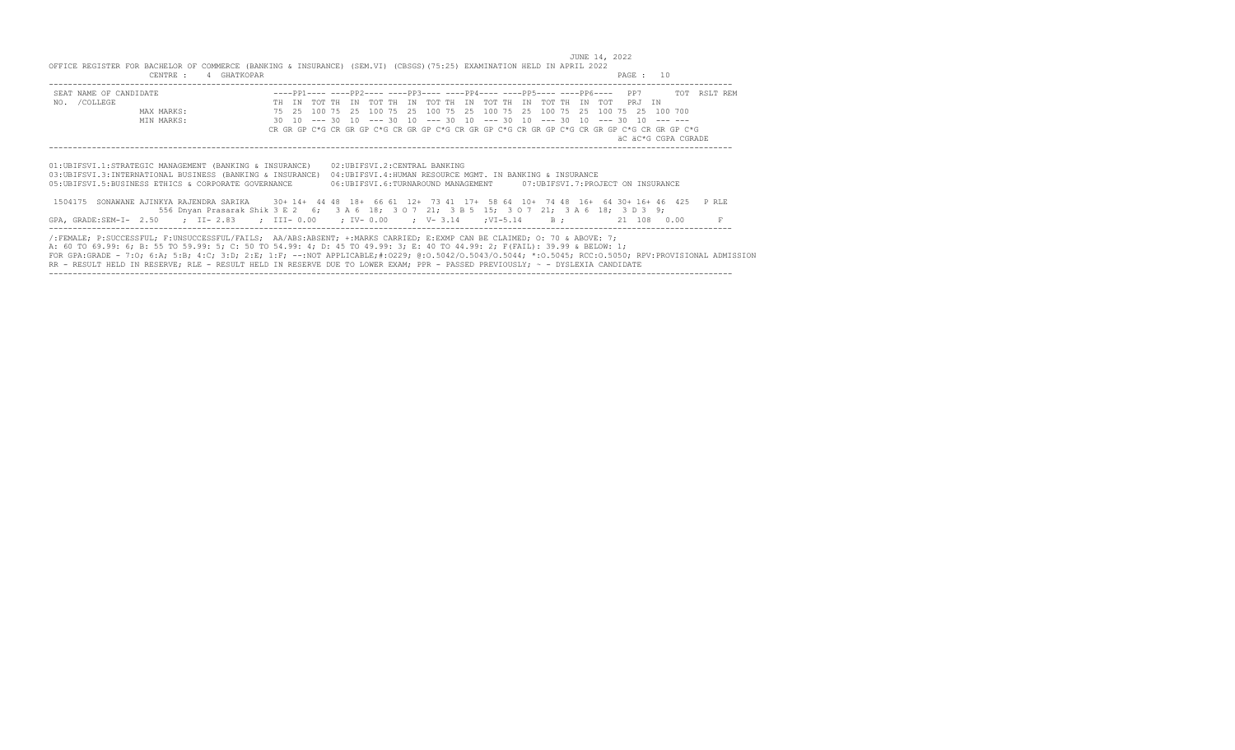JUNE 14, 2022 OFFICE REGISTER FOR BACHELOR OF COMMERCE (BANKING & INSURANCE) (SEM.VI) (CBSGS)(75:25) EXAMINATION HELD IN APRIL 2022 CENTRE : 4 GHATKOPAR PAGE : 10 ----------------------------------------------------------------------------------------------------------------------------------------------- SEAT NAME OF CANDIDATE ----PP1---- ----PP2---- ----PP3---- ----PP4---- ----PP5---- ----PP6---- PP7 TOT RSLT REM<br>
MAX MARKS: THE IN TOT THE IN TOT THE IN TOT THE IN TOT THE IN TOT THE IN TOT THE IN TOT THE IN TOT PRJ IN<br>
M

| 01: UBIFSVI.1: STRATEGIC MANAGEMENT (BANKING & INSURANCE)<br>03: UBIFSVI.3: INTERNATIONAL BUSINESS (BANKING & INSURANCE)<br>05:UBIFSVI.5:BUSINESS ETHICS & CORPORATE GOVERNANCE | 02: UBIFSVI.2: CENTRAL BANKING<br>04: UBIFSVI.4: HUMAN RESOURCE MGMT. IN BANKING & INSURANCE<br>06:UBIFSVI.6:TURNAROUND MANAGEMENT 07:UBIFSVI.7:PROJECT ON INSURANCE                                                                                                                                                                                                                                                                                                                                                                        |
|---------------------------------------------------------------------------------------------------------------------------------------------------------------------------------|---------------------------------------------------------------------------------------------------------------------------------------------------------------------------------------------------------------------------------------------------------------------------------------------------------------------------------------------------------------------------------------------------------------------------------------------------------------------------------------------------------------------------------------------|
|                                                                                                                                                                                 | 1504175 SONAWANE AJINKYA RAJENDRA SARIKA 30+14+4448 18+6661 12+7341 17+5864 10+7448 16+6430+16+46 425 PRLE<br>556 Dnyan Prasarak Shik 3 E 2 6; 3 A 6 18; 3 O 7 21; 3 B 5 15; 3 O 7 21; 3 A 6 18; 3 D 3 9;                                                                                                                                                                                                                                                                                                                                   |
|                                                                                                                                                                                 | GPA, GRADE:SEM-I- 2.50 ; II-2.83 ; III-0.00 ; IV-0.00 ; V-3.14 ;VI-5.14 B; 21 108 0.00                                                                                                                                                                                                                                                                                                                                                                                                                                                      |
|                                                                                                                                                                                 | /:FEMALE: P:SUCCESSFUL: F:UNSUCCESSFUL/FAILS: AA/ABS:ABSENT: +:MARKS CARRIED: E:EXMP CAN BE CLAIMED: 0: 70 & ABOVE: 7:<br>A: 60 TO 69.99: 6; B: 55 TO 59.99: 5; C: 50 TO 54.99: 4; D: 45 TO 49.99: 3; E: 40 TO 44.99: 2; F(FAIL): 39.99 & BELOW: 1;<br>FOR GPA:GRADE - 7:0; 6:A; 5:B; 4:C; 3:D; 2:E; 1:F; --:NOT APPLICABLE;#:0229; 0:0.5042/0.5043/0.5044; *:0.5045; RCC:0.5050; RPV:PROVISIONAL ADMISSION<br>RR - RESULT HELD IN RESERVE; RLE - RESULT HELD IN RESERVE DUE TO LOWER EXAM; PPR - PASSED PREVIOUSLY; ~ - DYSLEXIA CANDIDATE |

-----------------------------------------------------------------------------------------------------------------------------------------------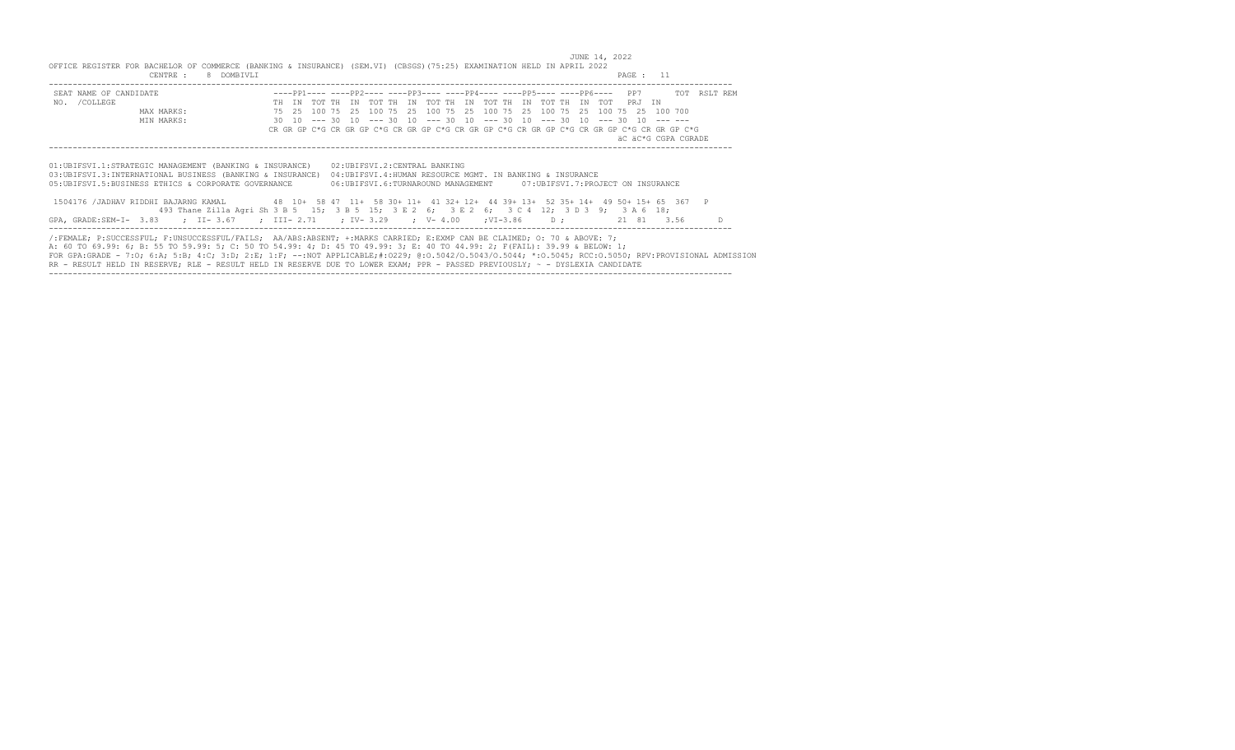JUNE 14, 2022 OFFICE REGISTER FOR BACHELOR OF COMMERCE (BANKING & INSURANCE) (SEM.VI) (CBSGS)(75:25) EXAMINATION HELD IN APRIL 2022 CENTRE : 8 DOMBIVLI PAGE : 11 ----------------------------------------------------------------------------------------------------------------------------------------------- SEAT NAME OF CANDIDATE ----PP1---- ----PP2---- ----PP3---- ----PP4---- ----PP5---- ----PP6---- PP7 TOT RSLT REM NO. /COLLEGE TH IN TOT TH IN TOT TH IN TOT TH IN TOT TH IN TOT TH IN TOT PRJ IN

| NO. / COLLEGE |                                                                                                                                                      |       |             |      | TO TOT THE IN TOT THE IN TOT THE IN TOT THE IN TOT THE IN TOT                              |      |                                                                         |  |  |  |            |                     |  |
|---------------|------------------------------------------------------------------------------------------------------------------------------------------------------|-------|-------------|------|--------------------------------------------------------------------------------------------|------|-------------------------------------------------------------------------|--|--|--|------------|---------------------|--|
|               | MAX MARKS:                                                                                                                                           | 75 25 | 100 75      | - 25 | 100 75                                                                                     | - 25 | 100 75 25 100 75 25 100 75 25 100 75 25 100 700                         |  |  |  |            |                     |  |
|               | MIN MARKS:                                                                                                                                           | 30 10 | $--- 30 10$ |      |                                                                                            |      | $--- 30 10 --- 30 10 --- 30 10 --- 30 10 --- 30 10 --- 30 10 --- 30 10$ |  |  |  |            |                     |  |
|               |                                                                                                                                                      |       |             |      | CR GR GP C*G CR GR GP C*G CR GR GP C*G CR GR GP C*G CR GR GP C*G CR GR GP C*G CR GR GP C*G |      |                                                                         |  |  |  |            |                     |  |
|               |                                                                                                                                                      |       |             |      |                                                                                            |      |                                                                         |  |  |  |            | äC äC*G CGPA CGRADE |  |
|               |                                                                                                                                                      |       |             |      |                                                                                            |      |                                                                         |  |  |  |            |                     |  |
|               |                                                                                                                                                      |       |             |      |                                                                                            |      |                                                                         |  |  |  |            |                     |  |
|               | 01: UBIFSVI.1: STRATEGIC MANAGEMENT (BANKING & INSURANCE)                                                                                            |       |             |      | 02: UBIFSVI.2: CENTRAL BANKING                                                             |      |                                                                         |  |  |  |            |                     |  |
|               | 03: UBIFSVI.3: INTERNATIONAL BUSINESS (BANKING & INSURANCE)                                                                                          |       |             |      | 04: UBIFSVI.4: HUMAN RESOURCE MGMT. IN BANKING & INSURANCE                                 |      |                                                                         |  |  |  |            |                     |  |
|               | 05:UBIFSVI.5:BUSINESS ETHICS & CORPORATE GOVERNANCE                                                                                                  |       |             |      | 06:UBIFSVI.6:TURNAROUND MANAGEMENT 07:UBIFSVI.7:PROJECT ON INSURANCE                       |      |                                                                         |  |  |  |            |                     |  |
|               |                                                                                                                                                      |       |             |      |                                                                                            |      |                                                                         |  |  |  |            |                     |  |
|               | 1504176 /JADHAV RIDDHI BAJARNG KAMAL 48 10+ 58 47 11+ 58 30+ 11+ 41 32+ 12+ 44 39+ 13+ 52 35+ 14+ 49 50+ 15+ 65 367 P                                |       |             |      |                                                                                            |      |                                                                         |  |  |  |            |                     |  |
|               | 493 Thane Zilla Agri Sh 3 B 5 15; 3 B 5 15; 3 E 2 6; 3 E 2 6; 3 C 4 12; 3 D 3 9; 3 A 6 18;                                                           |       |             |      |                                                                                            |      |                                                                         |  |  |  |            |                     |  |
|               | GPA, GRADE:SEM-I- 3.83 ; II-3.67 ; III-2.71 ; IV-3.29 ; V-4.00 ; VI-3.86 D;                                                                          |       |             |      |                                                                                            |      |                                                                         |  |  |  | 21 81 3.56 |                     |  |
|               |                                                                                                                                                      |       |             |      |                                                                                            |      |                                                                         |  |  |  |            |                     |  |
|               | /:FEMALE; P:SUCCESSFUL; F:UNSUCCESSFUL/FAILS; AA/ABS:ABSENT; +:MARKS CARRIED; E:EXMP CAN BE CLAIMED; O: 70 & ABOVE: 7;                               |       |             |      |                                                                                            |      |                                                                         |  |  |  |            |                     |  |
|               |                                                                                                                                                      |       |             |      |                                                                                            |      |                                                                         |  |  |  |            |                     |  |
|               | A: 60 TO 69.99: 6; B: 55 TO 59.99: 5; C: 50 TO 54.99: 4; D: 45 TO 49.99: 3; E: 40 TO 44.99: 2; F(FAIL): 39.99 & BELOW: 1;                            |       |             |      |                                                                                            |      |                                                                         |  |  |  |            |                     |  |
|               | FOR GPA:GRADE - 7:0; 6:A; 5:B; 4:C; 3:D; 2:E; 1:F; --:NOT APPLICABLE;#:0229; 0:0.5042/0.5043/0.5044; *:0.5045; RCC:0.5050; RPV:PROVISIONAL ADMISSION |       |             |      |                                                                                            |      |                                                                         |  |  |  |            |                     |  |
|               | RR - RESULT HELD IN RESERVE; RLE - RESULT HELD IN RESERVE DUE TO LOWER EXAM; PPR - PASSED PREVIOUSLY; ~ - DYSLEXIA CANDIDATE                         |       |             |      |                                                                                            |      |                                                                         |  |  |  |            |                     |  |

-----------------------------------------------------------------------------------------------------------------------------------------------